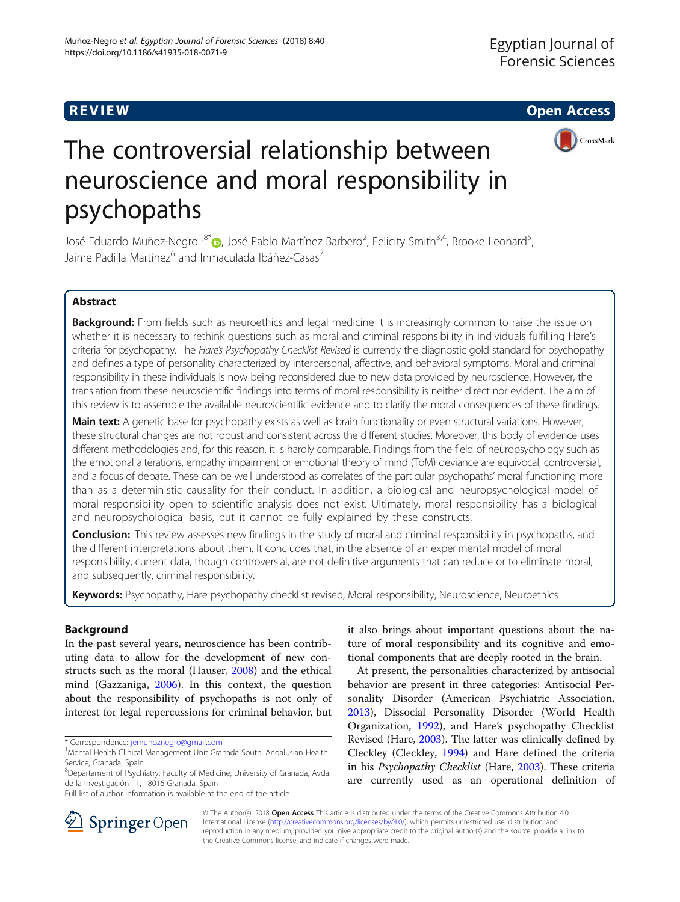**REVIEW CONSTRUCTION CONSTRUCTION CONSTRUCTS** 



# The controversial relationship between neuroscience and moral responsibility in psychopaths

José Eduardo Muñoz-Negro<sup>1,8[\\*](http://orcid.org/0000-0002-6133-9732)</sup>®, José Pablo Martínez Barbero<sup>2</sup>, Felicity Smith<sup>3,4</sup>, Brooke Leonard<sup>5</sup> , Jaime Padilla Martínez<sup>6</sup> and Inmaculada Ibáñez-Casas<sup>7</sup>

# Abstract

Background: From fields such as neuroethics and legal medicine it is increasingly common to raise the issue on whether it is necessary to rethink questions such as moral and criminal responsibility in individuals fulfilling Hare's criteria for psychopathy. The Hare's Psychopathy Checklist Revised is currently the diagnostic gold standard for psychopathy and defines a type of personality characterized by interpersonal, affective, and behavioral symptoms. Moral and criminal responsibility in these individuals is now being reconsidered due to new data provided by neuroscience. However, the translation from these neuroscientific findings into terms of moral responsibility is neither direct nor evident. The aim of this review is to assemble the available neuroscientific evidence and to clarify the moral consequences of these findings.

Main text: A genetic base for psychopathy exists as well as brain functionality or even structural variations. However, these structural changes are not robust and consistent across the different studies. Moreover, this body of evidence uses different methodologies and, for this reason, it is hardly comparable. Findings from the field of neuropsychology such as the emotional alterations, empathy impairment or emotional theory of mind (ToM) deviance are equivocal, controversial, and a focus of debate. These can be well understood as correlates of the particular psychopaths' moral functioning more than as a deterministic causality for their conduct. In addition, a biological and neuropsychological model of moral responsibility open to scientific analysis does not exist. Ultimately, moral responsibility has a biological and neuropsychological basis, but it cannot be fully explained by these constructs.

Conclusion: This review assesses new findings in the study of moral and criminal responsibility in psychopaths, and the different interpretations about them. It concludes that, in the absence of an experimental model of moral responsibility, current data, though controversial, are not definitive arguments that can reduce or to eliminate moral, and subsequently, criminal responsibility.

Keywords: Psychopathy, Hare psychopathy checklist revised, Moral responsibility, Neuroscience, Neuroethics

# Background

In the past several years, neuroscience has been contributing data to allow for the development of new constructs such as the moral (Hauser, [2008](#page-7-0)) and the ethical mind (Gazzaniga, [2006](#page-7-0)). In this context, the question about the responsibility of psychopaths is not only of interest for legal repercussions for criminal behavior, but

\* Correspondence: [jemunoznegro@gmail.com](mailto:jemunoznegro@gmail.com) <sup>1</sup>

it also brings about important questions about the nature of moral responsibility and its cognitive and emotional components that are deeply rooted in the brain.

At present, the personalities characterized by antisocial behavior are present in three categories: Antisocial Personality Disorder (American Psychiatric Association, [2013](#page-6-0)), Dissocial Personality Disorder (World Health Organization, [1992\)](#page-7-0), and Hare's psychopathy Checklist Revised (Hare, [2003\)](#page-7-0). The latter was clinically defined by Cleckley (Cleckley, [1994\)](#page-6-0) and Hare defined the criteria in his Psychopathy Checklist (Hare, [2003](#page-7-0)). These criteria are currently used as an operational definition of



© The Author(s). 2018 Open Access This article is distributed under the terms of the Creative Commons Attribution 4.0 International License ([http://creativecommons.org/licenses/by/4.0/\)](http://creativecommons.org/licenses/by/4.0/), which permits unrestricted use, distribution, and reproduction in any medium, provided you give appropriate credit to the original author(s) and the source, provide a link to the Creative Commons license, and indicate if changes were made.

<sup>&</sup>lt;sup>1</sup> Mental Health Clinical Management Unit Granada South, Andalusian Health Service, Granada, Spain

<sup>&</sup>lt;sup>8</sup>Departament of Psychiatry, Faculty of Medicine, University of Granada, Avda. de la Investigación 11, 18016 Granada, Spain

Full list of author information is available at the end of the article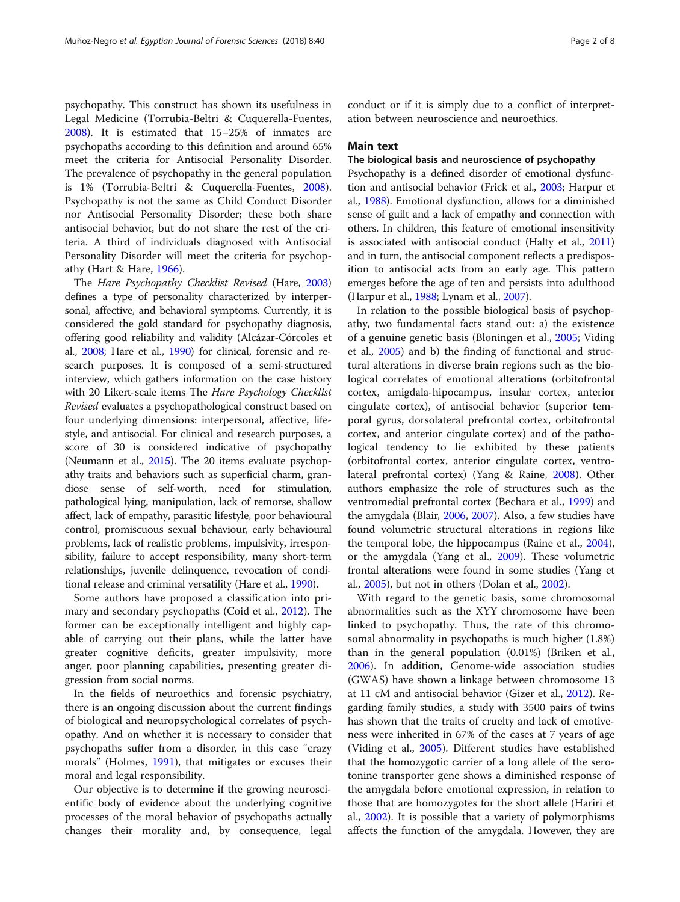psychopathy. This construct has shown its usefulness in Legal Medicine (Torrubia-Beltri & Cuquerella-Fuentes, [2008](#page-7-0)). It is estimated that 15–25% of inmates are psychopaths according to this definition and around 65% meet the criteria for Antisocial Personality Disorder. The prevalence of psychopathy in the general population is 1% (Torrubia-Beltri & Cuquerella-Fuentes, [2008](#page-7-0)). Psychopathy is not the same as Child Conduct Disorder nor Antisocial Personality Disorder; these both share antisocial behavior, but do not share the rest of the criteria. A third of individuals diagnosed with Antisocial Personality Disorder will meet the criteria for psychopathy (Hart & Hare, [1966\)](#page-7-0).

The Hare Psychopathy Checklist Revised (Hare, [2003](#page-7-0)) defines a type of personality characterized by interpersonal, affective, and behavioral symptoms. Currently, it is considered the gold standard for psychopathy diagnosis, offering good reliability and validity (Alcázar-Córcoles et al., [2008](#page-6-0); Hare et al., [1990](#page-7-0)) for clinical, forensic and research purposes. It is composed of a semi-structured interview, which gathers information on the case history with 20 Likert-scale items The Hare Psychology Checklist Revised evaluates a psychopathological construct based on four underlying dimensions: interpersonal, affective, lifestyle, and antisocial. For clinical and research purposes, a score of 30 is considered indicative of psychopathy (Neumann et al., [2015](#page-7-0)). The 20 items evaluate psychopathy traits and behaviors such as superficial charm, grandiose sense of self-worth, need for stimulation, pathological lying, manipulation, lack of remorse, shallow affect, lack of empathy, parasitic lifestyle, poor behavioural control, promiscuous sexual behaviour, early behavioural problems, lack of realistic problems, impulsivity, irresponsibility, failure to accept responsibility, many short-term relationships, juvenile delinquence, revocation of conditional release and criminal versatility (Hare et al., [1990\)](#page-7-0).

Some authors have proposed a classification into primary and secondary psychopaths (Coid et al., [2012](#page-6-0)). The former can be exceptionally intelligent and highly capable of carrying out their plans, while the latter have greater cognitive deficits, greater impulsivity, more anger, poor planning capabilities, presenting greater digression from social norms.

In the fields of neuroethics and forensic psychiatry, there is an ongoing discussion about the current findings of biological and neuropsychological correlates of psychopathy. And on whether it is necessary to consider that psychopaths suffer from a disorder, in this case "crazy morals" (Holmes, [1991\)](#page-7-0), that mitigates or excuses their moral and legal responsibility.

Our objective is to determine if the growing neuroscientific body of evidence about the underlying cognitive processes of the moral behavior of psychopaths actually changes their morality and, by consequence, legal conduct or if it is simply due to a conflict of interpretation between neuroscience and neuroethics.

## Main text

## The biological basis and neuroscience of psychopathy

Psychopathy is a defined disorder of emotional dysfunction and antisocial behavior (Frick et al., [2003;](#page-7-0) Harpur et al., [1988](#page-7-0)). Emotional dysfunction, allows for a diminished sense of guilt and a lack of empathy and connection with others. In children, this feature of emotional insensitivity is associated with antisocial conduct (Halty et al., [2011](#page-7-0)) and in turn, the antisocial component reflects a predisposition to antisocial acts from an early age. This pattern emerges before the age of ten and persists into adulthood (Harpur et al., [1988;](#page-7-0) Lynam et al., [2007](#page-7-0)).

In relation to the possible biological basis of psychopathy, two fundamental facts stand out: a) the existence of a genuine genetic basis (Bloningen et al., [2005](#page-6-0); Viding et al., [2005](#page-7-0)) and b) the finding of functional and structural alterations in diverse brain regions such as the biological correlates of emotional alterations (orbitofrontal cortex, amigdala-hipocampus, insular cortex, anterior cingulate cortex), of antisocial behavior (superior temporal gyrus, dorsolateral prefrontal cortex, orbitofrontal cortex, and anterior cingulate cortex) and of the pathological tendency to lie exhibited by these patients (orbitofrontal cortex, anterior cingulate cortex, ventrolateral prefrontal cortex) (Yang & Raine, [2008](#page-7-0)). Other authors emphasize the role of structures such as the ventromedial prefrontal cortex (Bechara et al., [1999](#page-6-0)) and the amygdala (Blair, [2006,](#page-6-0) [2007\)](#page-6-0). Also, a few studies have found volumetric structural alterations in regions like the temporal lobe, the hippocampus (Raine et al., [2004](#page-7-0)), or the amygdala (Yang et al., [2009](#page-7-0)). These volumetric frontal alterations were found in some studies (Yang et al., [2005\)](#page-7-0), but not in others (Dolan et al., [2002](#page-6-0)).

With regard to the genetic basis, some chromosomal abnormalities such as the XYY chromosome have been linked to psychopathy. Thus, the rate of this chromosomal abnormality in psychopaths is much higher (1.8%) than in the general population (0.01%) (Briken et al., [2006](#page-6-0)). In addition, Genome-wide association studies (GWAS) have shown a linkage between chromosome 13 at 11 cM and antisocial behavior (Gizer et al., [2012](#page-7-0)). Regarding family studies, a study with 3500 pairs of twins has shown that the traits of cruelty and lack of emotiveness were inherited in 67% of the cases at 7 years of age (Viding et al., [2005](#page-7-0)). Different studies have established that the homozygotic carrier of a long allele of the serotonine transporter gene shows a diminished response of the amygdala before emotional expression, in relation to those that are homozygotes for the short allele (Hariri et al., [2002](#page-7-0)). It is possible that a variety of polymorphisms affects the function of the amygdala. However, they are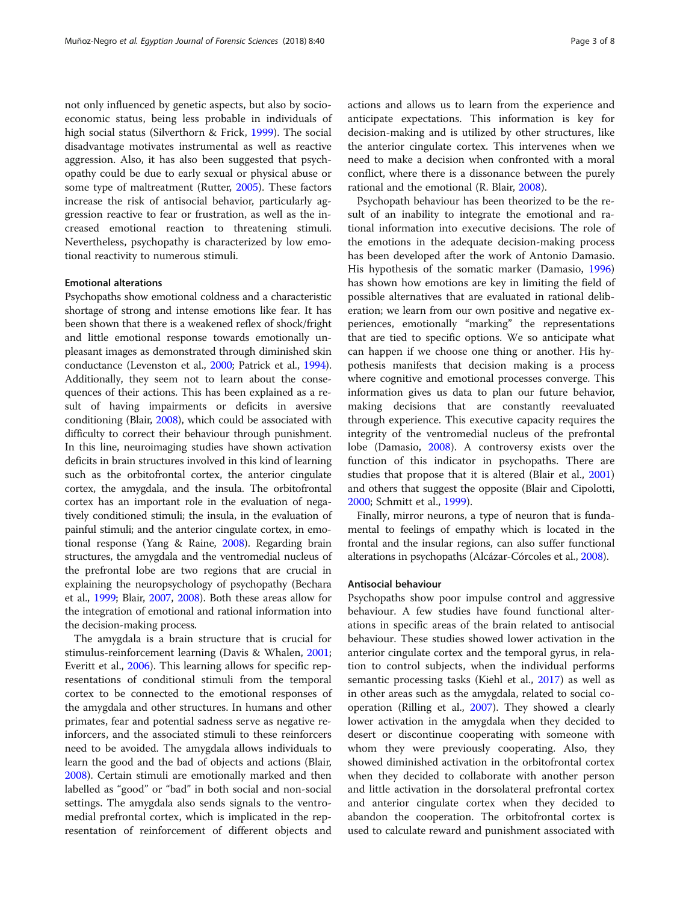not only influenced by genetic aspects, but also by socioeconomic status, being less probable in individuals of high social status (Silverthorn & Frick, [1999\)](#page-7-0). The social disadvantage motivates instrumental as well as reactive aggression. Also, it has also been suggested that psychopathy could be due to early sexual or physical abuse or some type of maltreatment (Rutter, [2005](#page-7-0)). These factors increase the risk of antisocial behavior, particularly aggression reactive to fear or frustration, as well as the increased emotional reaction to threatening stimuli. Nevertheless, psychopathy is characterized by low emotional reactivity to numerous stimuli.

## Emotional alterations

Psychopaths show emotional coldness and a characteristic shortage of strong and intense emotions like fear. It has been shown that there is a weakened reflex of shock/fright and little emotional response towards emotionally unpleasant images as demonstrated through diminished skin conductance (Levenston et al., [2000](#page-7-0); Patrick et al., [1994](#page-7-0)). Additionally, they seem not to learn about the consequences of their actions. This has been explained as a result of having impairments or deficits in aversive conditioning (Blair, [2008\)](#page-6-0), which could be associated with difficulty to correct their behaviour through punishment. In this line, neuroimaging studies have shown activation deficits in brain structures involved in this kind of learning such as the orbitofrontal cortex, the anterior cingulate cortex, the amygdala, and the insula. The orbitofrontal cortex has an important role in the evaluation of negatively conditioned stimuli; the insula, in the evaluation of painful stimuli; and the anterior cingulate cortex, in emotional response (Yang & Raine, [2008](#page-7-0)). Regarding brain structures, the amygdala and the ventromedial nucleus of the prefrontal lobe are two regions that are crucial in explaining the neuropsychology of psychopathy (Bechara et al., [1999](#page-6-0); Blair, [2007,](#page-6-0) [2008\)](#page-6-0). Both these areas allow for the integration of emotional and rational information into the decision-making process.

The amygdala is a brain structure that is crucial for stimulus-reinforcement learning (Davis & Whalen, [2001](#page-6-0); Everitt et al., [2006](#page-6-0)). This learning allows for specific representations of conditional stimuli from the temporal cortex to be connected to the emotional responses of the amygdala and other structures. In humans and other primates, fear and potential sadness serve as negative reinforcers, and the associated stimuli to these reinforcers need to be avoided. The amygdala allows individuals to learn the good and the bad of objects and actions (Blair, [2008](#page-6-0)). Certain stimuli are emotionally marked and then labelled as "good" or "bad" in both social and non-social settings. The amygdala also sends signals to the ventromedial prefrontal cortex, which is implicated in the representation of reinforcement of different objects and actions and allows us to learn from the experience and anticipate expectations. This information is key for decision-making and is utilized by other structures, like the anterior cingulate cortex. This intervenes when we need to make a decision when confronted with a moral conflict, where there is a dissonance between the purely rational and the emotional (R. Blair, [2008\)](#page-6-0).

Psychopath behaviour has been theorized to be the result of an inability to integrate the emotional and rational information into executive decisions. The role of the emotions in the adequate decision-making process has been developed after the work of Antonio Damasio. His hypothesis of the somatic marker (Damasio, [1996](#page-6-0)) has shown how emotions are key in limiting the field of possible alternatives that are evaluated in rational deliberation; we learn from our own positive and negative experiences, emotionally "marking" the representations that are tied to specific options. We so anticipate what can happen if we choose one thing or another. His hypothesis manifests that decision making is a process where cognitive and emotional processes converge. This information gives us data to plan our future behavior, making decisions that are constantly reevaluated through experience. This executive capacity requires the integrity of the ventromedial nucleus of the prefrontal lobe (Damasio, [2008\)](#page-6-0). A controversy exists over the function of this indicator in psychopaths. There are studies that propose that it is altered (Blair et al., [2001](#page-6-0)) and others that suggest the opposite (Blair and Cipolotti, [2000](#page-6-0); Schmitt et al., [1999\)](#page-7-0).

Finally, mirror neurons, a type of neuron that is fundamental to feelings of empathy which is located in the frontal and the insular regions, can also suffer functional alterations in psychopaths (Alcázar-Córcoles et al., [2008](#page-6-0)).

## Antisocial behaviour

Psychopaths show poor impulse control and aggressive behaviour. A few studies have found functional alterations in specific areas of the brain related to antisocial behaviour. These studies showed lower activation in the anterior cingulate cortex and the temporal gyrus, in relation to control subjects, when the individual performs semantic processing tasks (Kiehl et al., [2017\)](#page-7-0) as well as in other areas such as the amygdala, related to social cooperation (Rilling et al., [2007](#page-7-0)). They showed a clearly lower activation in the amygdala when they decided to desert or discontinue cooperating with someone with whom they were previously cooperating. Also, they showed diminished activation in the orbitofrontal cortex when they decided to collaborate with another person and little activation in the dorsolateral prefrontal cortex and anterior cingulate cortex when they decided to abandon the cooperation. The orbitofrontal cortex is used to calculate reward and punishment associated with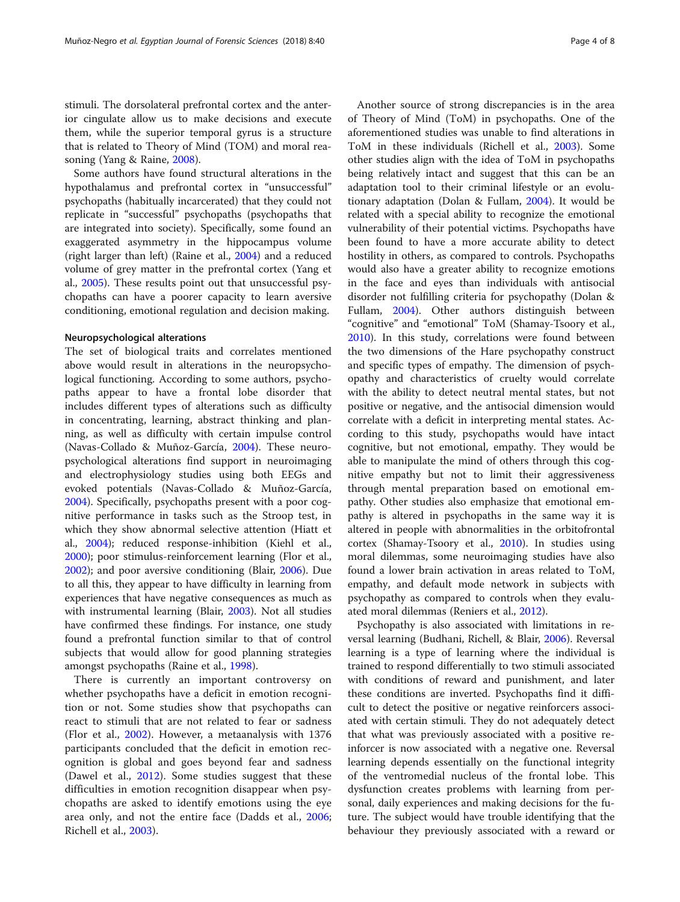stimuli. The dorsolateral prefrontal cortex and the anterior cingulate allow us to make decisions and execute them, while the superior temporal gyrus is a structure that is related to Theory of Mind (TOM) and moral reasoning (Yang & Raine, [2008\)](#page-7-0).

Some authors have found structural alterations in the hypothalamus and prefrontal cortex in "unsuccessful" psychopaths (habitually incarcerated) that they could not replicate in "successful" psychopaths (psychopaths that are integrated into society). Specifically, some found an exaggerated asymmetry in the hippocampus volume (right larger than left) (Raine et al., [2004](#page-7-0)) and a reduced volume of grey matter in the prefrontal cortex (Yang et al., [2005\)](#page-7-0). These results point out that unsuccessful psychopaths can have a poorer capacity to learn aversive conditioning, emotional regulation and decision making.

#### Neuropsychological alterations

The set of biological traits and correlates mentioned above would result in alterations in the neuropsychological functioning. According to some authors, psychopaths appear to have a frontal lobe disorder that includes different types of alterations such as difficulty in concentrating, learning, abstract thinking and planning, as well as difficulty with certain impulse control (Navas-Collado & Muñoz-García, [2004](#page-7-0)). These neuropsychological alterations find support in neuroimaging and electrophysiology studies using both EEGs and evoked potentials (Navas-Collado & Muñoz-García, [2004](#page-7-0)). Specifically, psychopaths present with a poor cognitive performance in tasks such as the Stroop test, in which they show abnormal selective attention (Hiatt et al., [2004\)](#page-7-0); reduced response-inhibition (Kiehl et al., [2000](#page-7-0)); poor stimulus-reinforcement learning (Flor et al., [2002](#page-6-0)); and poor aversive conditioning (Blair, [2006\)](#page-6-0). Due to all this, they appear to have difficulty in learning from experiences that have negative consequences as much as with instrumental learning (Blair, [2003](#page-6-0)). Not all studies have confirmed these findings. For instance, one study found a prefrontal function similar to that of control subjects that would allow for good planning strategies amongst psychopaths (Raine et al., [1998\)](#page-7-0).

There is currently an important controversy on whether psychopaths have a deficit in emotion recognition or not. Some studies show that psychopaths can react to stimuli that are not related to fear or sadness (Flor et al., [2002](#page-6-0)). However, a metaanalysis with 1376 participants concluded that the deficit in emotion recognition is global and goes beyond fear and sadness (Dawel et al., [2012\)](#page-6-0). Some studies suggest that these difficulties in emotion recognition disappear when psychopaths are asked to identify emotions using the eye area only, and not the entire face (Dadds et al., [2006](#page-6-0); Richell et al., [2003](#page-7-0)).

Another source of strong discrepancies is in the area of Theory of Mind (ToM) in psychopaths. One of the aforementioned studies was unable to find alterations in ToM in these individuals (Richell et al., [2003](#page-7-0)). Some other studies align with the idea of ToM in psychopaths being relatively intact and suggest that this can be an adaptation tool to their criminal lifestyle or an evolutionary adaptation (Dolan & Fullam, [2004\)](#page-6-0). It would be related with a special ability to recognize the emotional vulnerability of their potential victims. Psychopaths have been found to have a more accurate ability to detect hostility in others, as compared to controls. Psychopaths would also have a greater ability to recognize emotions in the face and eyes than individuals with antisocial disorder not fulfilling criteria for psychopathy (Dolan & Fullam, [2004\)](#page-6-0). Other authors distinguish between "cognitive" and "emotional" ToM (Shamay-Tsoory et al., [2010](#page-7-0)). In this study, correlations were found between the two dimensions of the Hare psychopathy construct and specific types of empathy. The dimension of psychopathy and characteristics of cruelty would correlate with the ability to detect neutral mental states, but not positive or negative, and the antisocial dimension would correlate with a deficit in interpreting mental states. According to this study, psychopaths would have intact cognitive, but not emotional, empathy. They would be able to manipulate the mind of others through this cognitive empathy but not to limit their aggressiveness through mental preparation based on emotional empathy. Other studies also emphasize that emotional empathy is altered in psychopaths in the same way it is altered in people with abnormalities in the orbitofrontal cortex (Shamay-Tsoory et al., [2010](#page-7-0)). In studies using moral dilemmas, some neuroimaging studies have also found a lower brain activation in areas related to ToM, empathy, and default mode network in subjects with psychopathy as compared to controls when they evaluated moral dilemmas (Reniers et al., [2012\)](#page-7-0).

Psychopathy is also associated with limitations in reversal learning (Budhani, Richell, & Blair, [2006](#page-6-0)). Reversal learning is a type of learning where the individual is trained to respond differentially to two stimuli associated with conditions of reward and punishment, and later these conditions are inverted. Psychopaths find it difficult to detect the positive or negative reinforcers associated with certain stimuli. They do not adequately detect that what was previously associated with a positive reinforcer is now associated with a negative one. Reversal learning depends essentially on the functional integrity of the ventromedial nucleus of the frontal lobe. This dysfunction creates problems with learning from personal, daily experiences and making decisions for the future. The subject would have trouble identifying that the behaviour they previously associated with a reward or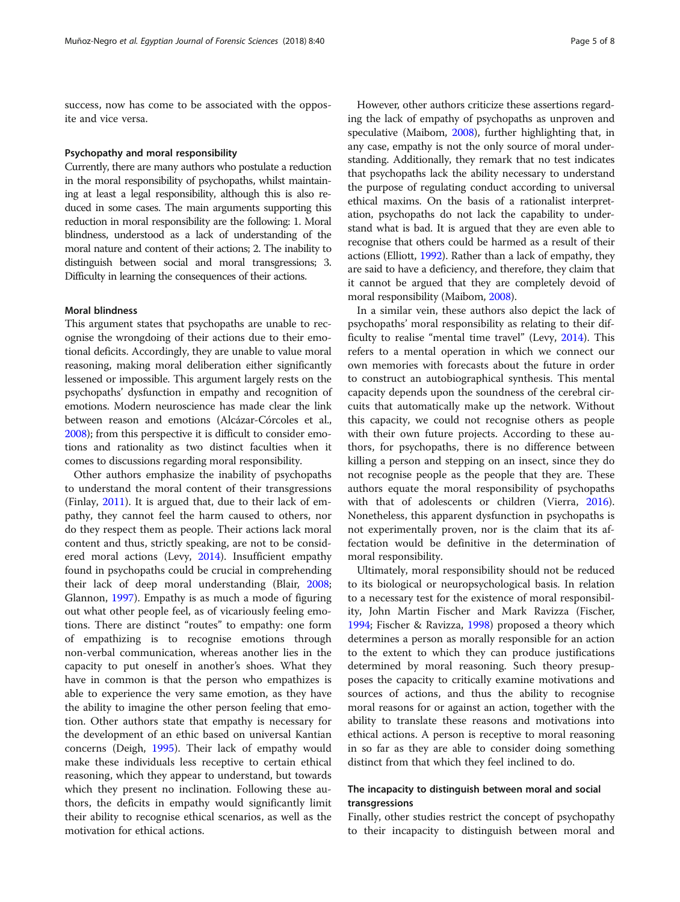success, now has come to be associated with the opposite and vice versa.

#### Psychopathy and moral responsibility

Currently, there are many authors who postulate a reduction in the moral responsibility of psychopaths, whilst maintaining at least a legal responsibility, although this is also reduced in some cases. The main arguments supporting this reduction in moral responsibility are the following: 1. Moral blindness, understood as a lack of understanding of the moral nature and content of their actions; 2. The inability to distinguish between social and moral transgressions; 3. Difficulty in learning the consequences of their actions.

## Moral blindness

This argument states that psychopaths are unable to recognise the wrongdoing of their actions due to their emotional deficits. Accordingly, they are unable to value moral reasoning, making moral deliberation either significantly lessened or impossible. This argument largely rests on the psychopaths' dysfunction in empathy and recognition of emotions. Modern neuroscience has made clear the link between reason and emotions (Alcázar-Córcoles et al., [2008\)](#page-6-0); from this perspective it is difficult to consider emotions and rationality as two distinct faculties when it comes to discussions regarding moral responsibility.

Other authors emphasize the inability of psychopaths to understand the moral content of their transgressions (Finlay, [2011\)](#page-6-0). It is argued that, due to their lack of empathy, they cannot feel the harm caused to others, nor do they respect them as people. Their actions lack moral content and thus, strictly speaking, are not to be considered moral actions (Levy, [2014](#page-7-0)). Insufficient empathy found in psychopaths could be crucial in comprehending their lack of deep moral understanding (Blair, [2008](#page-6-0); Glannon, [1997](#page-7-0)). Empathy is as much a mode of figuring out what other people feel, as of vicariously feeling emotions. There are distinct "routes" to empathy: one form of empathizing is to recognise emotions through non-verbal communication, whereas another lies in the capacity to put oneself in another's shoes. What they have in common is that the person who empathizes is able to experience the very same emotion, as they have the ability to imagine the other person feeling that emotion. Other authors state that empathy is necessary for the development of an ethic based on universal Kantian concerns (Deigh, [1995\)](#page-6-0). Their lack of empathy would make these individuals less receptive to certain ethical reasoning, which they appear to understand, but towards which they present no inclination. Following these authors, the deficits in empathy would significantly limit their ability to recognise ethical scenarios, as well as the motivation for ethical actions.

However, other authors criticize these assertions regarding the lack of empathy of psychopaths as unproven and speculative (Maibom, [2008](#page-7-0)), further highlighting that, in any case, empathy is not the only source of moral understanding. Additionally, they remark that no test indicates that psychopaths lack the ability necessary to understand the purpose of regulating conduct according to universal ethical maxims. On the basis of a rationalist interpretation, psychopaths do not lack the capability to understand what is bad. It is argued that they are even able to recognise that others could be harmed as a result of their actions (Elliott, [1992](#page-6-0)). Rather than a lack of empathy, they are said to have a deficiency, and therefore, they claim that it cannot be argued that they are completely devoid of moral responsibility (Maibom, [2008\)](#page-7-0).

In a similar vein, these authors also depict the lack of psychopaths' moral responsibility as relating to their difficulty to realise "mental time travel" (Levy, [2014](#page-7-0)). This refers to a mental operation in which we connect our own memories with forecasts about the future in order to construct an autobiographical synthesis. This mental capacity depends upon the soundness of the cerebral circuits that automatically make up the network. Without this capacity, we could not recognise others as people with their own future projects. According to these authors, for psychopaths, there is no difference between killing a person and stepping on an insect, since they do not recognise people as the people that they are. These authors equate the moral responsibility of psychopaths with that of adolescents or children (Vierra, [2016](#page-7-0)). Nonetheless, this apparent dysfunction in psychopaths is not experimentally proven, nor is the claim that its affectation would be definitive in the determination of moral responsibility.

Ultimately, moral responsibility should not be reduced to its biological or neuropsychological basis. In relation to a necessary test for the existence of moral responsibility, John Martin Fischer and Mark Ravizza (Fischer, [1994](#page-6-0); Fischer & Ravizza, [1998](#page-6-0)) proposed a theory which determines a person as morally responsible for an action to the extent to which they can produce justifications determined by moral reasoning. Such theory presupposes the capacity to critically examine motivations and sources of actions, and thus the ability to recognise moral reasons for or against an action, together with the ability to translate these reasons and motivations into ethical actions. A person is receptive to moral reasoning in so far as they are able to consider doing something distinct from that which they feel inclined to do.

## The incapacity to distinguish between moral and social transgressions

Finally, other studies restrict the concept of psychopathy to their incapacity to distinguish between moral and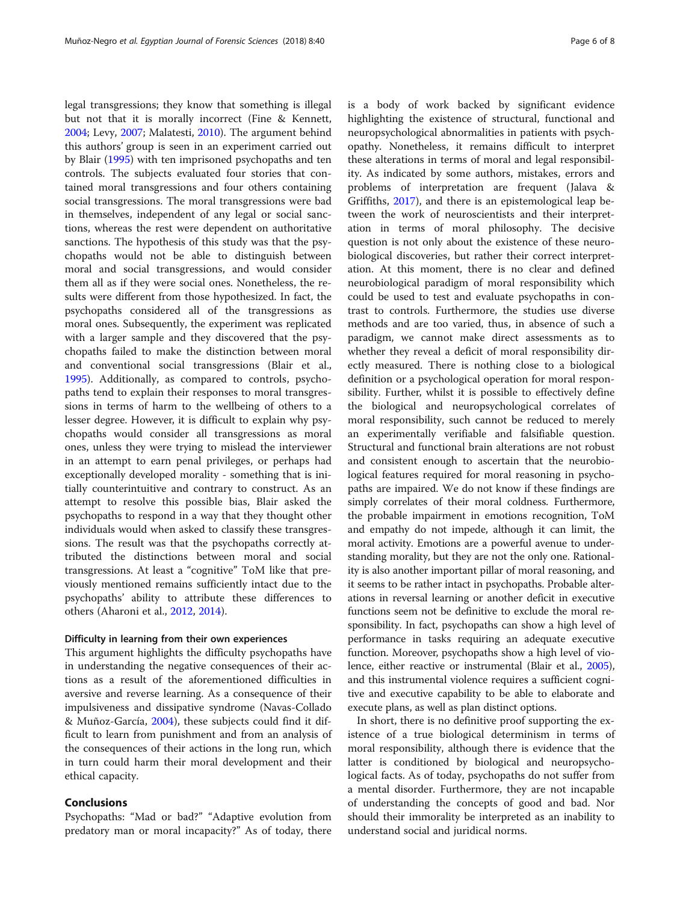legal transgressions; they know that something is illegal but not that it is morally incorrect (Fine & Kennett, [2004](#page-6-0); Levy, [2007](#page-7-0); Malatesti, [2010\)](#page-7-0). The argument behind this authors' group is seen in an experiment carried out by Blair [\(1995](#page-6-0)) with ten imprisoned psychopaths and ten controls. The subjects evaluated four stories that contained moral transgressions and four others containing social transgressions. The moral transgressions were bad in themselves, independent of any legal or social sanctions, whereas the rest were dependent on authoritative sanctions. The hypothesis of this study was that the psychopaths would not be able to distinguish between moral and social transgressions, and would consider them all as if they were social ones. Nonetheless, the results were different from those hypothesized. In fact, the psychopaths considered all of the transgressions as moral ones. Subsequently, the experiment was replicated with a larger sample and they discovered that the psychopaths failed to make the distinction between moral and conventional social transgressions (Blair et al., [1995](#page-6-0)). Additionally, as compared to controls, psychopaths tend to explain their responses to moral transgressions in terms of harm to the wellbeing of others to a lesser degree. However, it is difficult to explain why psychopaths would consider all transgressions as moral ones, unless they were trying to mislead the interviewer in an attempt to earn penal privileges, or perhaps had exceptionally developed morality - something that is initially counterintuitive and contrary to construct. As an attempt to resolve this possible bias, Blair asked the psychopaths to respond in a way that they thought other individuals would when asked to classify these transgressions. The result was that the psychopaths correctly attributed the distinctions between moral and social transgressions. At least a "cognitive" ToM like that previously mentioned remains sufficiently intact due to the psychopaths' ability to attribute these differences to others (Aharoni et al., [2012](#page-6-0), [2014\)](#page-6-0).

## Difficulty in learning from their own experiences

This argument highlights the difficulty psychopaths have in understanding the negative consequences of their actions as a result of the aforementioned difficulties in aversive and reverse learning. As a consequence of their impulsiveness and dissipative syndrome (Navas-Collado & Muñoz-García, [2004](#page-7-0)), these subjects could find it difficult to learn from punishment and from an analysis of the consequences of their actions in the long run, which in turn could harm their moral development and their ethical capacity.

## Conclusions

Psychopaths: "Mad or bad?" "Adaptive evolution from predatory man or moral incapacity?" As of today, there is a body of work backed by significant evidence highlighting the existence of structural, functional and neuropsychological abnormalities in patients with psychopathy. Nonetheless, it remains difficult to interpret these alterations in terms of moral and legal responsibility. As indicated by some authors, mistakes, errors and problems of interpretation are frequent (Jalava & Griffiths, [2017](#page-7-0)), and there is an epistemological leap between the work of neuroscientists and their interpretation in terms of moral philosophy. The decisive question is not only about the existence of these neurobiological discoveries, but rather their correct interpretation. At this moment, there is no clear and defined neurobiological paradigm of moral responsibility which could be used to test and evaluate psychopaths in contrast to controls. Furthermore, the studies use diverse methods and are too varied, thus, in absence of such a paradigm, we cannot make direct assessments as to whether they reveal a deficit of moral responsibility directly measured. There is nothing close to a biological definition or a psychological operation for moral responsibility. Further, whilst it is possible to effectively define the biological and neuropsychological correlates of moral responsibility, such cannot be reduced to merely an experimentally verifiable and falsifiable question. Structural and functional brain alterations are not robust and consistent enough to ascertain that the neurobiological features required for moral reasoning in psychopaths are impaired. We do not know if these findings are simply correlates of their moral coldness. Furthermore, the probable impairment in emotions recognition, ToM and empathy do not impede, although it can limit, the moral activity. Emotions are a powerful avenue to understanding morality, but they are not the only one. Rationality is also another important pillar of moral reasoning, and it seems to be rather intact in psychopaths. Probable alterations in reversal learning or another deficit in executive functions seem not be definitive to exclude the moral responsibility. In fact, psychopaths can show a high level of performance in tasks requiring an adequate executive function. Moreover, psychopaths show a high level of violence, either reactive or instrumental (Blair et al., [2005](#page-6-0)), and this instrumental violence requires a sufficient cognitive and executive capability to be able to elaborate and execute plans, as well as plan distinct options.

In short, there is no definitive proof supporting the existence of a true biological determinism in terms of moral responsibility, although there is evidence that the latter is conditioned by biological and neuropsychological facts. As of today, psychopaths do not suffer from a mental disorder. Furthermore, they are not incapable of understanding the concepts of good and bad. Nor should their immorality be interpreted as an inability to understand social and juridical norms.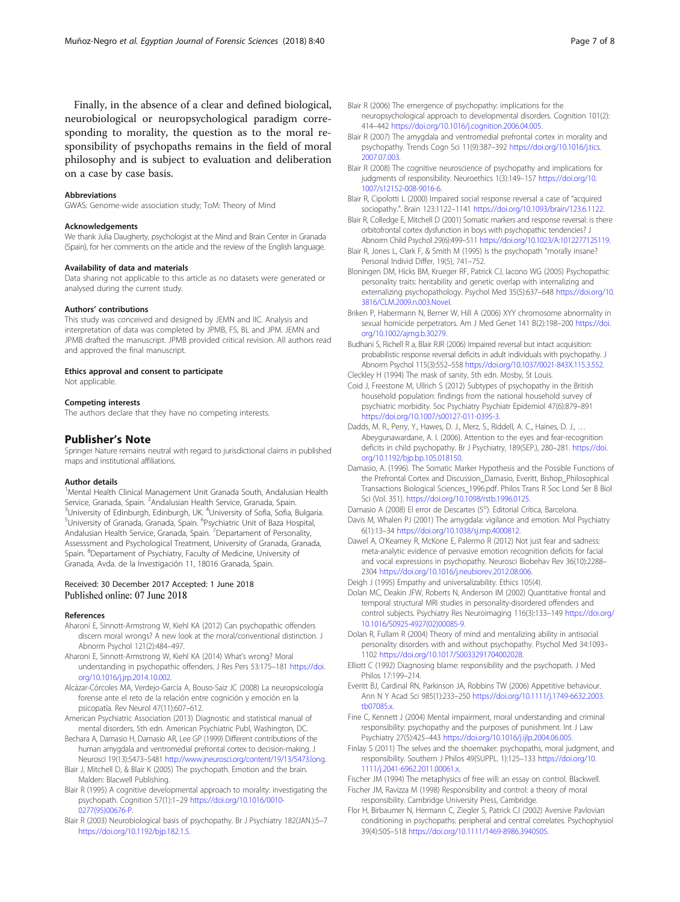<span id="page-6-0"></span>Finally, in the absence of a clear and defined biological, neurobiological or neuropsychological paradigm corresponding to morality, the question as to the moral responsibility of psychopaths remains in the field of moral philosophy and is subject to evaluation and deliberation on a case by case basis.

#### Abbreviations

GWAS: Genome-wide association study; ToM: Theory of Mind

#### Acknowledgements

We thank Julia Daugherty, psychologist at the Mind and Brain Center in Granada (Spain), for her comments on the article and the review of the English language.

## Availability of data and materials

Data sharing not applicable to this article as no datasets were generated or analysed during the current study.

## Authors' contributions

This study was conceived and designed by JEMN and IIC. Analysis and interpretation of data was completed by JPMB, FS, BL and JPM. JEMN and JPMB drafted the manuscript. JPMB provided critical revision. All authors read and approved the final manuscript.

#### Ethics approval and consent to participate

Not applicable.

## Competing interests

The authors declare that they have no competing interests.

## Publisher's Note

Springer Nature remains neutral with regard to jurisdictional claims in published maps and institutional affiliations.

#### Author details

<sup>1</sup>Mental Health Clinical Management Unit Granada South, Andalusian Health Service, Granada, Spain. <sup>2</sup>Andalusian Health Service, Granada, Spain.<br><sup>3</sup>University of Edinburgh, Edinburgh, UK. <sup>4</sup>University of Sofia, Sofia. I  $^{3}$ University of Edinburgh, Edinburgh, UK.  $^{4}$ University of Sofia, Sofia, Bulgaria.<br><sup>5</sup>Libiversity of Grapada, Grapada, Spain, <sup>6</sup>Psychiatric Unit of Baza Hospital. University of Granada, Granada, Spain. <sup>6</sup>Psychiatric Unit of Baza Hospital, Andalusian Health Service, Granada, Spain. <sup>7</sup> Departament of Personality, Assesssment and Psychological Treatment, University of Granada, Granada, Spain. <sup>8</sup>Departament of Psychiatry, Faculty of Medicine, University of Granada, Avda. de la Investigación 11, 18016 Granada, Spain.

## Received: 30 December 2017 Accepted: 1 June 2018 Published online: 07 June 2018

#### References

- Aharoni E, Sinnott-Armstrong W, Kiehl KA (2012) Can psychopathic offenders discern moral wrongs? A new look at the moral/conventional distinction. J Abnorm Psychol 121(2):484–497.
- Aharoni E, Sinnott-Armstrong W, Kiehl KA (2014) What's wrong? Moral understanding in psychopathic offenders. J Res Pers 53:175–181 [https://doi.](https://doi.org/10.1016/j.jrp.2014.10.002) [org/10.1016/j.jrp.2014.10.002](https://doi.org/10.1016/j.jrp.2014.10.002).
- Alcázar-Córcoles MA, Verdejo-García A, Bouso-Saiz JC (2008) La neuropsicología forense ante el reto de la relación entre cognición y emoción en la psicopatía. Rev Neurol 47(11):607–612.
- American Psychiatric Association (2013) Diagnostic and statistical manual of mental disorders, 5th edn. American Psychiatric Publ, Washington, DC.
- Bechara A, Damasio H, Damasio AR, Lee GP (1999) Different contributions of the human amygdala and ventromedial prefrontal cortex to decision-making. J Neurosci 19(13):5473–5481 <http://www.jneurosci.org/content/19/13/5473.long>.
- Blair J, Mitchell D, & Blair K (2005) The psychopath. Emotion and the brain. Malden: Blacwell Publishing.
- Blair R (1995) A cognitive developmental approach to morality: investigating the psychopath. Cognition 57(1):1–29 [https://doi.org/10.1016/0010-](https://doi.org/10.1016/0010-0277(95)00676-P) [0277\(95\)00676-P.](https://doi.org/10.1016/0010-0277(95)00676-P)
- Blair R (2003) Neurobiological basis of psychopathy. Br J Psychiatry 182(JAN.):5–7 [https://doi.org/10.1192/bjp.182.1.5.](https://doi.org/10.1192/bjp.182.1.5)
- Blair R (2006) The emergence of psychopathy: implications for the neuropsychological approach to developmental disorders. Cognition 101(2): 414–442 <https://doi.org/10.1016/j.cognition.2006.04.005>.
- Blair R (2007) The amygdala and ventromedial prefrontal cortex in morality and psychopathy. Trends Cogn Sci 11(9):387–392 [https://doi.org/10.1016/j.tics.](https://doi.org/10.1016/j.tics.2007.07.003) [2007.07.003.](https://doi.org/10.1016/j.tics.2007.07.003)
- Blair R (2008) The cognitive neuroscience of psychopathy and implications for judgments of responsibility. Neuroethics 1(3):149–157 [https://doi.org/10.](https://doi.org/10.1007/s12152-008-9016-6) [1007/s12152-008-9016-6](https://doi.org/10.1007/s12152-008-9016-6).
- Blair R, Cipolotti L (2000) Impaired social response reversal a case of "acquired sociopathy.". Brain 123:1122–1141 [https://doi.org/10.1093/brain/123.6.1122.](https://doi.org/10.1093/brain/123.6.1122)
- Blair R, Colledge E, Mitchell D (2001) Somatic markers and response reversal: is there orbitofrontal cortex dysfunction in boys with psychopathic tendencies? J Abnorm Child Psychol 29(6):499–511 [https://doi.org/10.1023/A:1012277125119.](https://doi.org/10.1023/A:1012277125119)
- Blair R, Jones L, Clark F, & Smith M (1995) Is the psychopath "morally insane? Personal Individ Differ, 19(5), 741–752.
- Bloningen DM, Hicks BM, Krueger RF, Patrick CJ, Iacono WG (2005) Psychopathic personality traits: heritability and genetic overlap with internalizing and externalizing psychopathology. Psychol Med 35(5):637–648 [https://doi.org/10.](https://doi.org/10.3816/CLM.2009.n.003.Novel) [3816/CLM.2009.n.003.Novel](https://doi.org/10.3816/CLM.2009.n.003.Novel).
- Briken P, Habermann N, Berner W, Hill A (2006) XYY chromosome abnormality in sexual homicide perpetrators. Am J Med Genet 141 B(2):198-200 [https://doi.](https://doi.org/10.1002/ajmg.b.30279) [org/10.1002/ajmg.b.30279.](https://doi.org/10.1002/ajmg.b.30279)
- Budhani S, Richell R a, Blair RJR (2006) Impaired reversal but intact acquisition: probabilistic response reversal deficits in adult individuals with psychopathy. J Abnorm Psychol 115(3):552–558 <https://doi.org/10.1037/0021-843X.115.3.552>.
- Cleckley H (1994) The mask of sanity, 5th edn. Mosby, St Louis.
- Coid J, Freestone M, Ullrich S (2012) Subtypes of psychopathy in the British household population: findings from the national household survey of psychiatric morbidity. Soc Psychiatry Psychiatr Epidemiol 47(6):879–891 <https://doi.org/10.1007/s00127-011-0395-3>.
- Dadds, M. R., Perry, Y., Hawes, D. J., Merz, S., Riddell, A. C., Haines, D. J., ... Abeygunawardane, A. I. (2006). Attention to the eyes and fear-recognition deficits in child psychopathy. Br J Psychiatry, 189(SEP.), 280–281. [https://doi.](https://doi.org/10.1192/bjp.bp.105.018150) [org/10.1192/bjp.bp.105.018150](https://doi.org/10.1192/bjp.bp.105.018150).
- Damasio, A. (1996). The Somatic Marker Hypothesis and the Possible Functions of the Prefrontal Cortex and Discussion\_Damasio, Everitt, Bishop\_Philosophical Transactions Biological Sciences\_1996.pdf. Philos Trans R Soc Lond Ser B Biol Sci (Vol. 351). [https://doi.org/10.1098/rstb.1996.0125.](https://doi.org/10.1098/rstb.1996.0125)
- Damasio A (2008) El error de Descartes (5º). Editorial Crítica, Barcelona Davis M, Whalen PJ (2001) The amygdala: vigilance and emotion. Mol Psychiatry 6(1):13–34 <https://doi.org/10.1038/sj.mp.4000812>.
- Dawel A, O'Kearney R, McKone E, Palermo R (2012) Not just fear and sadness: meta-analytic evidence of pervasive emotion recognition deficits for facial and vocal expressions in psychopathy. Neurosci Biobehav Rev 36(10):2288– 2304 <https://doi.org/10.1016/j.neubiorev.2012.08.006>.

Deigh J (1995) Empathy and universalizability. Ethics 105(4).

- Dolan MC, Deakin JFW, Roberts N, Anderson IM (2002) Quantitative frontal and temporal structural MRI studies in personality-disordered offenders and control subjects. Psychiatry Res Neuroimaging 116(3):133–149 [https://doi.org/](https://doi.org/10.1016/S0925-4927(02)00085-9) [10.1016/S0925-4927\(02\)00085-9.](https://doi.org/10.1016/S0925-4927(02)00085-9)
- Dolan R, Fullam R (2004) Theory of mind and mentalizing ability in antisocial personality disorders with and without psychopathy. Psychol Med 34:1093– 1102 [https://doi.org/10.1017/S0033291704002028.](https://doi.org/10.1017/S0033291704002028)
- Elliott C (1992) Diagnosing blame: responsibility and the psychopath. J Med Philos 17:199–214.
- Everitt BJ, Cardinal RN, Parkinson JA, Robbins TW (2006) Appetitive behaviour. Ann N Y Acad Sci 985(1):233–250 [https://doi.org/10.1111/j.1749-6632.2003.](https://doi.org/10.1111/j.1749-6632.2003.tb07085.x) tb07085x
- Fine C, Kennett J (2004) Mental impairment, moral understanding and criminal responsibility: psychopathy and the purposes of punishment. Int J Law Psychiatry 27(5):425–443 [https://doi.org/10.1016/j.ijlp.2004.06.005.](https://doi.org/10.1016/j.ijlp.2004.06.005)
- Finlay S (2011) The selves and the shoemaker: psychopaths, moral judgment, and responsibility. Southern J Philos 49(SUPPL. 1):125–133 [https://doi.org/10.](https://doi.org/10.1111/j.2041-6962.2011.00061.x) [1111/j.2041-6962.2011.00061.x](https://doi.org/10.1111/j.2041-6962.2011.00061.x).
- Fischer JM (1994) The metaphysics of free will: an essay on control. Blackwell. Fischer JM, Ravizza M (1998) Responsibility and control: a theory of moral
- responsibility. Cambridge University Press, Cambridge. Flor H, Birbaumer N, Hermann C, Ziegler S, Patrick CJ (2002) Aversive Pavlovian
- conditioning in psychopaths: peripheral and central correlates. Psychophysiol 39(4):505–518 [https://doi.org/10.1111/1469-8986.3940505.](https://doi.org/10.1111/1469-8986.3940505)